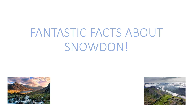# FANTASTIC FACTS ABOUT SNOWDON!



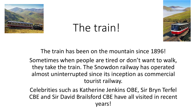

### The train!



The train has been on the mountain since 1896! Sometimes when people are tired or don't want to walk, they take the train. The Snowdon railway has operated almost uninterrupted since its inception as commercial tourist railway.

Celebrities such as Katherine Jenkins OBE, Sir Bryn Terfel CBE and Sir David Brailsford CBE have all visited in recent years!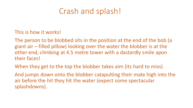### Crash and splash!

This is how it works!

The person to be blobbed sits in the position at the end of the bob (a giant air – filled pillow) looking over the water the blobber is at the other end, climbing at 4.5 metre tower with a dastardly smile apon their faces!

When they get to the top the blobber takes aim (its hard to miss)

And jumps down onto the blobber catapulting their mate high into the air before the hit they hit the water (expect some spectacular splashdowns).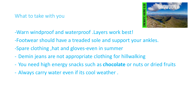#### What to take with you



- -Warn windproof and waterproof .Layers work best!
- -Footwear should have a treaded sole and support your ankles.
- -Spare clothing ,hat and gloves-even in summer
- Demin jeans are not appropriate clothing for hillwalking
- You need high energy snacks such as **chocolate** or nuts or dried fruits
- Always carry water even if its cool weather .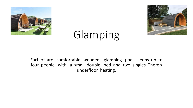



## Glamping

Each of are comfortable wooden glamping pods sleeps up to four people with a small double bed and two singles. There's underfloor heating.